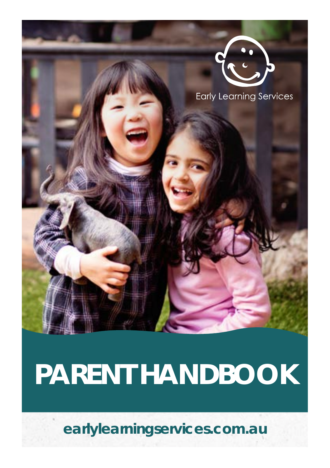

# **PARENT HANDBOOK**

**[earlylearningservices.com.au](http://earlylearningservices.com.au)**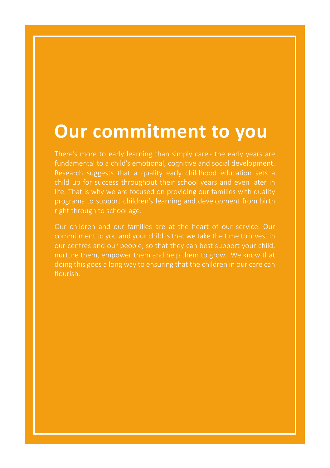### **Our commitment to you**

There's more to early learning than simply care - the early years are Research suggests that a quality early childhood education sets a child up for success throughout their school years and even later in life. That is why we are focused on providing our families with quality programs to support children's learning and development from birth

Our children and our families are at the heart of our service. Our our centres and our people, so that they can best support your child, nurture them, empower them and help them to grow. We know that doing this goes a long way to ensuring that the children in our care can flourish.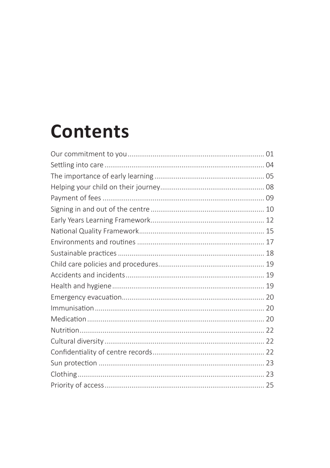### **Contents**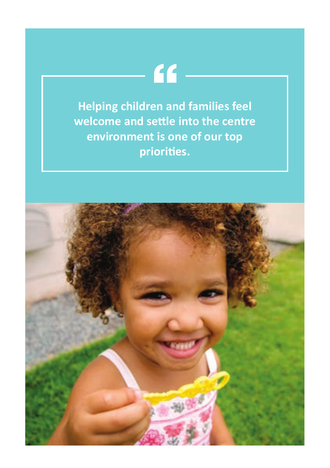**Helping children and families feel welcome and settle into the centre environment is one of our top priorities.**

 $66-$ 

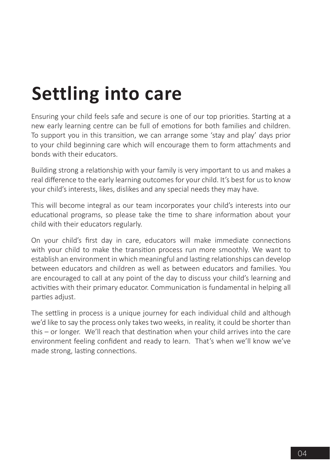### **Settling into care**

Ensuring your child feels safe and secure is one of our top priorities. Starting at a new early learning centre can be full of emotions for both families and children. To support you in this transition, we can arrange some 'stay and play' days prior to your child beginning care which will encourage them to form attachments and bonds with their educators.

Building strong a relationship with your family is very important to us and makes a real difference to the early learning outcomes for your child. It's best for us to know your child's interests, likes, dislikes and any special needs they may have.

This will become integral as our team incorporates your child's interests into our educational programs, so please take the time to share information about your child with their educators regularly.

On your child's first day in care, educators will make immediate connections with your child to make the transition process run more smoothly. We want to establish an environment in which meaningful and lasting relationships can develop between educators and children as well as between educators and families. You are encouraged to call at any point of the day to discuss your child's learning and activities with their primary educator. Communication is fundamental in helping all parties adjust.

The settling in process is a unique journey for each individual child and although we'd like to say the process only takes two weeks, in reality, it could be shorter than this – or longer. We'll reach that destination when your child arrives into the care environment feeling confident and ready to learn. That's when we'll know we've made strong, lasting connections.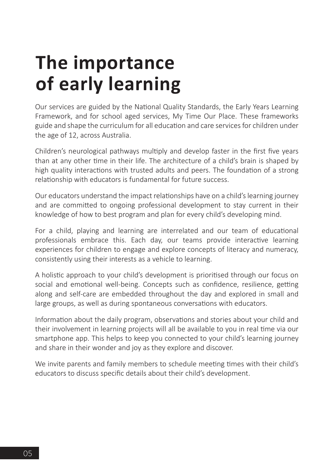### **The importance of early learning**

Our services are guided by the National Quality Standards, the Early Years Learning Framework, and for school aged services, My Time Our Place. These frameworks guide and shape the curriculum for all education and care services for children under the age of 12, across Australia.

Children's neurological pathways multiply and develop faster in the first five years than at any other time in their life. The architecture of a child's brain is shaped by high quality interactions with trusted adults and peers. The foundation of a strong relationship with educators is fundamental for future success.

Our educators understand the impact relationships have on a child's learning journey and are committed to ongoing professional development to stay current in their knowledge of how to best program and plan for every child's developing mind.

For a child, playing and learning are interrelated and our team of educational professionals embrace this. Each day, our teams provide interactive learning experiences for children to engage and explore concepts of literacy and numeracy, consistently using their interests as a vehicle to learning.

A holistic approach to your child's development is prioritised through our focus on social and emotional well-being. Concepts such as confidence, resilience, getting along and self-care are embedded throughout the day and explored in small and large groups, as well as during spontaneous conversations with educators.

Information about the daily program, observations and stories about your child and their involvement in learning projects will all be available to you in real time via our smartphone app. This helps to keep you connected to your child's learning journey and share in their wonder and joy as they explore and discover.

We invite parents and family members to schedule meeting times with their child's educators to discuss specific details about their child's development.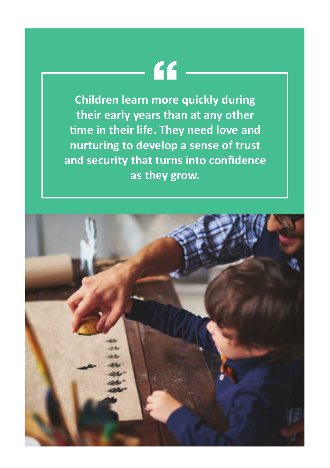## $66 -$

**Children learn more quickly during their early years than at any other time in their life. They need love and nurturing to develop a sense of trust and security that turns into confidence as they grow.**

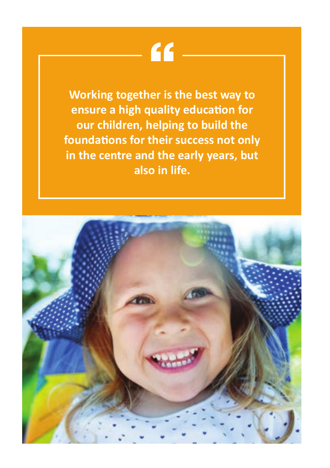## $f$

**Working together is the best way to ensure a high quality education for our children, helping to build the foundations for their success not only in the centre and the early years, but also in life.**

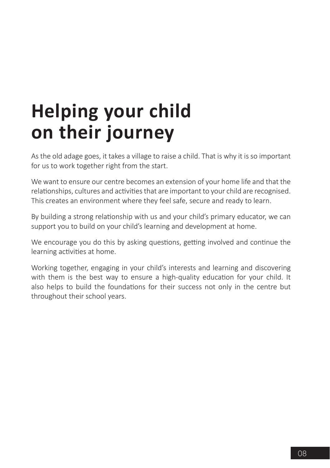### **Helping your child on their journey**

As the old adage goes, it takes a village to raise a child. That is why it is so important for us to work together right from the start.

We want to ensure our centre becomes an extension of your home life and that the relationships, cultures and activities that are important to your child are recognised. This creates an environment where they feel safe, secure and ready to learn.

By building a strong relationship with us and your child's primary educator, we can support you to build on your child's learning and development at home.

We encourage you do this by asking questions, getting involved and continue the learning activities at home.

Working together, engaging in your child's interests and learning and discovering with them is the best way to ensure a high-quality education for your child. It also helps to build the foundations for their success not only in the centre but throughout their school years.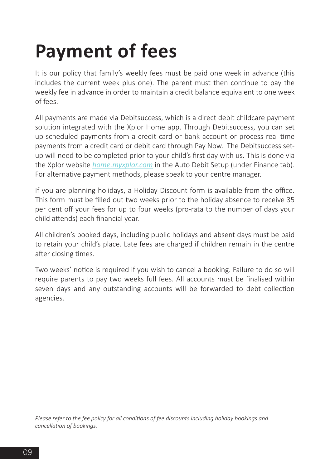## **Payment of fees**

It is our policy that family's weekly fees must be paid one week in advance (this includes the current week plus one). The parent must then continue to pay the weekly fee in advance in order to maintain a credit balance equivalent to one week of fees.

All payments are made via Debitsuccess, which is a direct debit childcare payment solution integrated with the Xplor Home app. Through Debitsuccess, you can set up scheduled payments from a credit card or bank account or process real-time payments from a credit card or debit card through Pay Now. The Debitsuccess setup will need to be completed prior to your child's first day with us. This is done via the Xplor website *[home.myxplor.com](http://home.myxplor.com)* in the Auto Debit Setup (under Finance tab). For alternative payment methods, please speak to your centre manager.

If you are planning holidays, a Holiday Discount form is available from the office. This form must be filled out two weeks prior to the holiday absence to receive 35 per cent off your fees for up to four weeks (pro-rata to the number of days your child attends) each financial year.

All children's booked days, including public holidays and absent days must be paid to retain your child's place. Late fees are charged if children remain in the centre after closing times.

Two weeks' notice is required if you wish to cancel a booking. Failure to do so will require parents to pay two weeks full fees. All accounts must be finalised within seven days and any outstanding accounts will be forwarded to debt collection agencies.

*Please refer to the fee policy for all conditions of fee discounts including holiday bookings and cancellation of bookings.*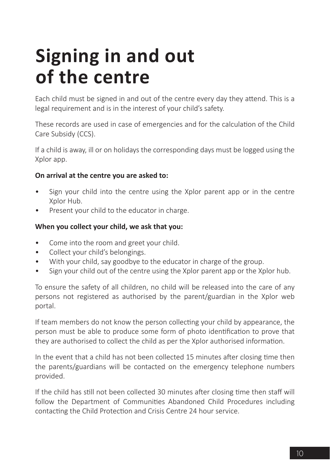### **Signing in and out of the centre**

Each child must be signed in and out of the centre every day they attend. This is a legal requirement and is in the interest of your child's safety.

These records are used in case of emergencies and for the calculation of the Child Care Subsidy (CCS).

If a child is away, ill or on holidays the corresponding days must be logged using the Xplor app.

#### **On arrival at the centre you are asked to:**

- Sign your child into the centre using the Xplor parent app or in the centre Xplor Hub.
- Present your child to the educator in charge.

#### **When you collect your child, we ask that you:**

- Come into the room and greet your child.
- Collect your child's belongings.
- With your child, say goodbye to the educator in charge of the group.
- Sign your child out of the centre using the Xplor parent app or the Xplor hub.

To ensure the safety of all children, no child will be released into the care of any persons not registered as authorised by the parent/guardian in the Xplor web portal.

If team members do not know the person collecting your child by appearance, the person must be able to produce some form of photo identification to prove that they are authorised to collect the child as per the Xplor authorised information.

In the event that a child has not been collected 15 minutes after closing time then the parents/guardians will be contacted on the emergency telephone numbers provided.

If the child has still not been collected 30 minutes after closing time then staff will follow the Department of Communities Abandoned Child Procedures including contacting the Child Protection and Crisis Centre 24 hour service.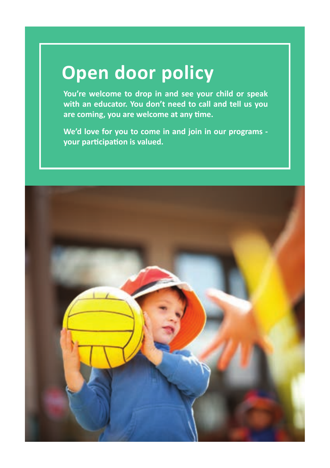### **Open door policy**

**You're welcome to drop in and see your child or speak with an educator. You don't need to call and tell us you are coming, you are welcome at any time.** 

**We'd love for you to come in and join in our programs your participation is valued.** 

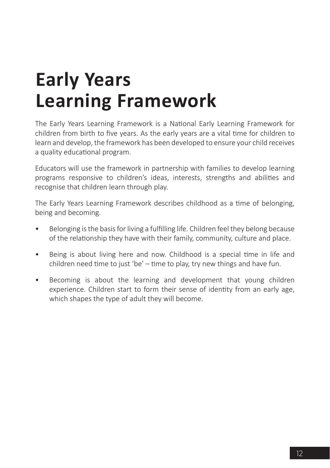### **Early Years Learning Framework**

The Early Years Learning Framework is a National Early Learning Framework for children from birth to five years. As the early years are a vital time for children to learn and develop, the framework has been developed to ensure your child receives a quality educational program.

Educators will use the framework in partnership with families to develop learning programs responsive to children's ideas, interests, strengths and abilities and recognise that children learn through play.

The Early Years Learning Framework describes childhood as a time of belonging, being and becoming.

- Belonging is the basis for living a fulfilling life. Children feel they belong because of the relationship they have with their family, community, culture and place.
- Being is about living here and now. Childhood is a special time in life and children need time to just 'be' – time to play, try new things and have fun.
- Becoming is about the learning and development that young children experience. Children start to form their sense of identity from an early age, which shapes the type of adult they will become.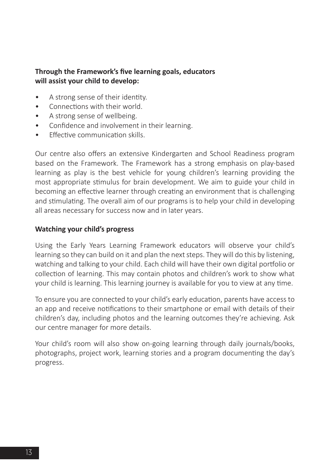#### **Through the Framework's five learning goals, educators will assist your child to develop:**

- A strong sense of their identity.
- Connections with their world.
- A strong sense of wellbeing.
- Confidence and involvement in their learning.
- Effective communication skills.

Our centre also offers an extensive Kindergarten and School Readiness program based on the Framework. The Framework has a strong emphasis on play-based learning as play is the best vehicle for young children's learning providing the most appropriate stimulus for brain development. We aim to guide your child in becoming an effective learner through creating an environment that is challenging and stimulating. The overall aim of our programs is to help your child in developing all areas necessary for success now and in later years.

#### **Watching your child's progress**

Using the Early Years Learning Framework educators will observe your child's learning so they can build on it and plan the next steps. They will do this by listening, watching and talking to your child. Each child will have their own digital portfolio or collection of learning. This may contain photos and children's work to show what your child is learning. This learning journey is available for you to view at any time.

To ensure you are connected to your child's early education, parents have access to an app and receive notifications to their smartphone or email with details of their children's day, including photos and the learning outcomes they're achieving. Ask our centre manager for more details.

Your child's room will also show on-going learning through daily journals/books, photographs, project work, learning stories and a program documenting the day's progress.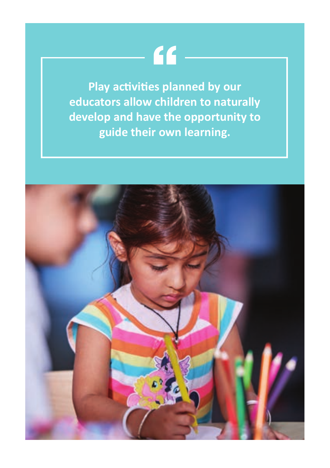# $66 -$

**Play activities planned by our educators allow children to naturally develop and have the opportunity to guide their own learning.** 

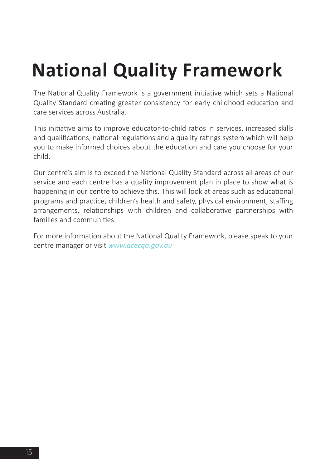## **National Quality Framework**

The National Quality Framework is a government initiative which sets a National Quality Standard creating greater consistency for early childhood education and care services across Australia.

This initiative aims to improve educator-to-child ratios in services, increased skills and qualifications, national regulations and a quality ratings system which will help you to make informed choices about the education and care you choose for your child.

Our centre's aim is to exceed the National Quality Standard across all areas of our service and each centre has a quality improvement plan in place to show what is happening in our centre to achieve this. This will look at areas such as educational programs and practice, children's health and safety, physical environment, staffing arrangements, relationships with children and collaborative partnerships with families and communities.

For more information about the National Quality Framework, please speak to your centre manager or visit *[www.acecqa.gov.au](http://www.acecqa.gov.au)*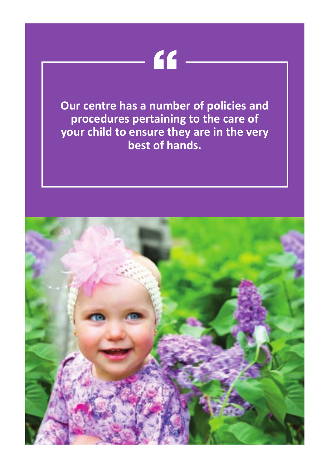## $66-$

**Our centre has a number of policies and procedures pertaining to the care of your child to ensure they are in the very best of hands.**

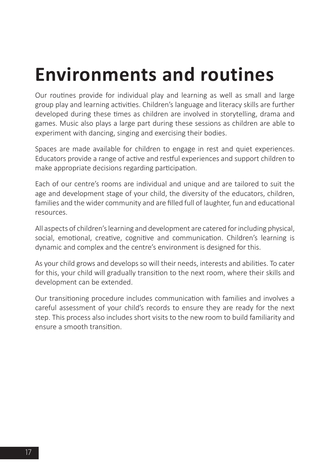### **Environments and routines**

Our routines provide for individual play and learning as well as small and large group play and learning activities. Children's language and literacy skills are further developed during these times as children are involved in storytelling, drama and games. Music also plays a large part during these sessions as children are able to experiment with dancing, singing and exercising their bodies.

Spaces are made available for children to engage in rest and quiet experiences. Educators provide a range of active and restful experiences and support children to make appropriate decisions regarding participation.

Each of our centre's rooms are individual and unique and are tailored to suit the age and development stage of your child, the diversity of the educators, children, families and the wider community and are filled full of laughter, fun and educational resources.

All aspects of children's learning and development are catered for including physical, social, emotional, creative, cognitive and communication. Children's learning is dynamic and complex and the centre's environment is designed for this.

As your child grows and develops so will their needs, interests and abilities. To cater for this, your child will gradually transition to the next room, where their skills and development can be extended.

Our transitioning procedure includes communication with families and involves a careful assessment of your child's records to ensure they are ready for the next step. This process also includes short visits to the new room to build familiarity and ensure a smooth transition.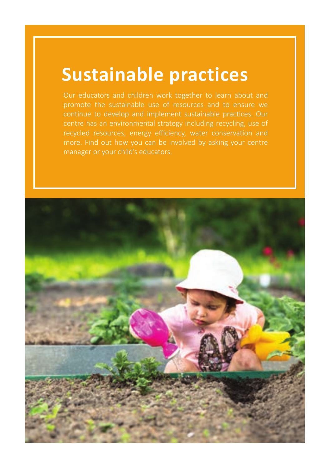### **Sustainable practices**

promote the sustainable use of resources and to ensure we continue to develop and implement sustainable practices. Our centre has an environmental strategy including recycling, use of

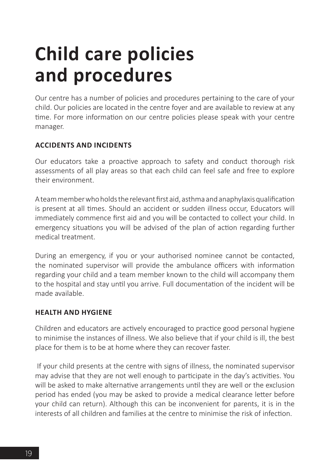### **Child care policies and procedures**

Our centre has a number of policies and procedures pertaining to the care of your child. Our policies are located in the centre foyer and are available to review at any time. For more information on our centre policies please speak with your centre manager.

### **ACCIDENTS AND INCIDENTS**

Our educators take a proactive approach to safety and conduct thorough risk assessments of all play areas so that each child can feel safe and free to explore their environment.

A team member who holds the relevant first aid, asthma and anaphylaxis qualification is present at all times. Should an accident or sudden illness occur, Educators will immediately commence first aid and you will be contacted to collect your child. In emergency situations you will be advised of the plan of action regarding further medical treatment.

During an emergency, if you or your authorised nominee cannot be contacted, the nominated supervisor will provide the ambulance officers with information regarding your child and a team member known to the child will accompany them to the hospital and stay until you arrive. Full documentation of the incident will be made available.

### **HEALTH AND HYGIENE**

Children and educators are actively encouraged to practice good personal hygiene to minimise the instances of illness. We also believe that if your child is ill, the best place for them is to be at home where they can recover faster.

 If your child presents at the centre with signs of illness, the nominated supervisor may advise that they are not well enough to participate in the day's activities. You will be asked to make alternative arrangements until they are well or the exclusion period has ended (you may be asked to provide a medical clearance letter before your child can return). Although this can be inconvenient for parents, it is in the interests of all children and families at the centre to minimise the risk of infection.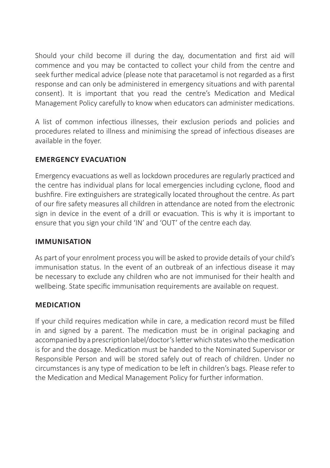Should your child become ill during the day, documentation and first aid will commence and you may be contacted to collect your child from the centre and seek further medical advice (please note that paracetamol is not regarded as a first response and can only be administered in emergency situations and with parental consent). It is important that you read the centre's Medication and Medical Management Policy carefully to know when educators can administer medications.

A list of common infectious illnesses, their exclusion periods and policies and procedures related to illness and minimising the spread of infectious diseases are available in the foyer.

### **EMERGENCY EVACUATION**

Emergency evacuations as well as lockdown procedures are regularly practiced and the centre has individual plans for local emergencies including cyclone, flood and bushfire. Fire extinguishers are strategically located throughout the centre. As part of our fire safety measures all children in attendance are noted from the electronic sign in device in the event of a drill or evacuation. This is why it is important to ensure that you sign your child 'IN' and 'OUT' of the centre each day.

#### **IMMUNISATION**

As part of your enrolment process you will be asked to provide details of your child's immunisation status. In the event of an outbreak of an infectious disease it may be necessary to exclude any children who are not immunised for their health and wellbeing. State specific immunisation requirements are available on request.

### **MEDICATION**

If your child requires medication while in care, a medication record must be filled in and signed by a parent. The medication must be in original packaging and accompanied by a prescription label/doctor's letter which states who the medication is for and the dosage. Medication must be handed to the Nominated Supervisor or Responsible Person and will be stored safely out of reach of children. Under no circumstances is any type of medication to be left in children's bags. Please refer to the Medication and Medical Management Policy for further information.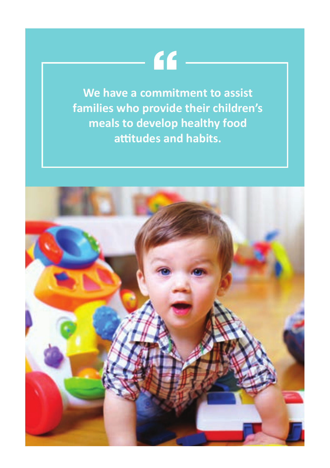## $66-$

**We have a commitment to assist families who provide their children's meals to develop healthy food attitudes and habits.**

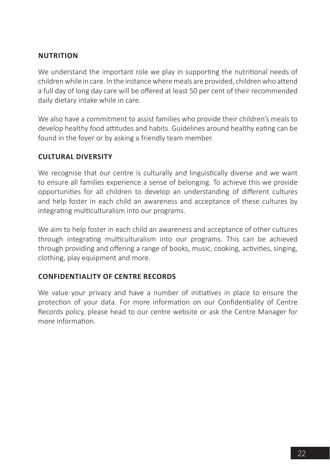### **NUTRITION**

We understand the important role we play in supporting the nutritional needs of children while in care. In the instance where meals are provided, children who attend a full day of long day care will be offered at least 50 per cent of their recommended daily dietary intake while in care.

We also have a commitment to assist families who provide their children's meals to develop healthy food attitudes and habits. Guidelines around healthy eating can be found in the foyer or by asking a friendly team member.

### **CULTURAL DIVERSITY**

We recognise that our centre is culturally and linguistically diverse and we want to ensure all families experience a sense of belonging. To achieve this we provide opportunities for all children to develop an understanding of different cultures and help foster in each child an awareness and acceptance of these cultures by integrating multiculturalism into our programs.

We aim to help foster in each child an awareness and acceptance of other cultures through integrating multiculturalism into our programs. This can be achieved through providing and offering a range of books, music, cooking, activities, singing, clothing, play equipment and more.

### **CONFIDENTIALITY OF CENTRE RECORDS**

We value your privacy and have a number of initiatives in place to ensure the protection of your data. For more information on our Confidentiality of Centre Records policy, please head to our centre website or ask the Centre Manager for more information.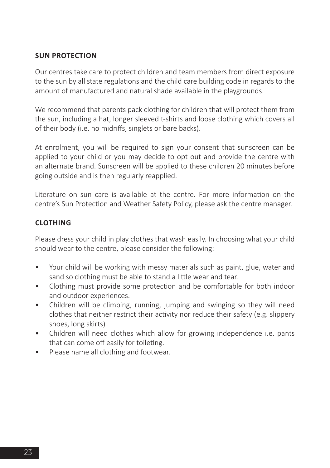### **SUN PROTECTION**

Our centres take care to protect children and team members from direct exposure to the sun by all state regulations and the child care building code in regards to the amount of manufactured and natural shade available in the playgrounds.

We recommend that parents pack clothing for children that will protect them from the sun, including a hat, longer sleeved t-shirts and loose clothing which covers all of their body (i.e. no midriffs, singlets or bare backs).

At enrolment, you will be required to sign your consent that sunscreen can be applied to your child or you may decide to opt out and provide the centre with an alternate brand. Sunscreen will be applied to these children 20 minutes before going outside and is then regularly reapplied.

Literature on sun care is available at the centre. For more information on the centre's Sun Protection and Weather Safety Policy, please ask the centre manager.

### **CLOTHING**

Please dress your child in play clothes that wash easily. In choosing what your child should wear to the centre, please consider the following:

- Your child will be working with messy materials such as paint, glue, water and sand so clothing must be able to stand a little wear and tear.
- Clothing must provide some protection and be comfortable for both indoor and outdoor experiences.
- Children will be climbing, running, jumping and swinging so they will need clothes that neither restrict their activity nor reduce their safety (e.g. slippery shoes, long skirts)
- Children will need clothes which allow for growing independence i.e. pants that can come off easily for toileting.
- Please name all clothing and footwear.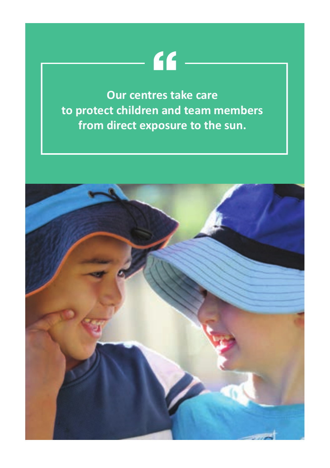## $-66-$

**Our centres take care to protect children and team members from direct exposure to the sun.**

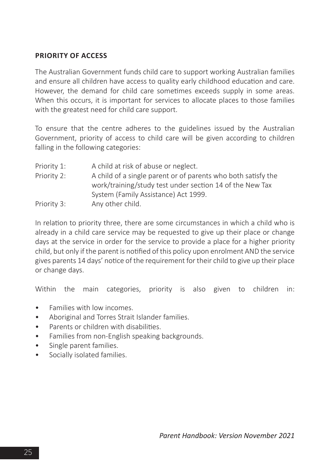### **PRIORITY OF ACCESS**

The Australian Government funds child care to support working Australian families and ensure all children have access to quality early childhood education and care. However, the demand for child care sometimes exceeds supply in some areas. When this occurs, it is important for services to allocate places to those families with the greatest need for child care support.

To ensure that the centre adheres to the guidelines issued by the Australian Government, priority of access to child care will be given according to children falling in the following categories:

Priority 1: A child at risk of abuse or neglect. Priority 2: A child of a single parent or of parents who both satisfy the work/training/study test under section 14 of the New Tax System (Family Assistance) Act 1999. Priority 3: Any other child.

In relation to priority three, there are some circumstances in which a child who is already in a child care service may be requested to give up their place or change days at the service in order for the service to provide a place for a higher priority child, but only if the parent is notified of this policy upon enrolment AND the service gives parents 14 days' notice of the requirement for their child to give up their place or change days.

Within the main categories, priority is also given to children in:

- Families with low incomes.
- Aboriginal and Torres Strait Islander families.
- Parents or children with disabilities.
- Families from non-English speaking backgrounds.
- Single parent families.
- Socially isolated families.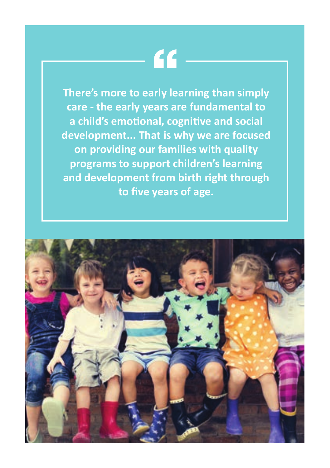## $\epsilon$

**There's more to early learning than simply care - the early years are fundamental to a child's emotional, cognitive and social development... That is why we are focused on providing our families with quality programs to support children's learning and development from birth right through to five years of age.**